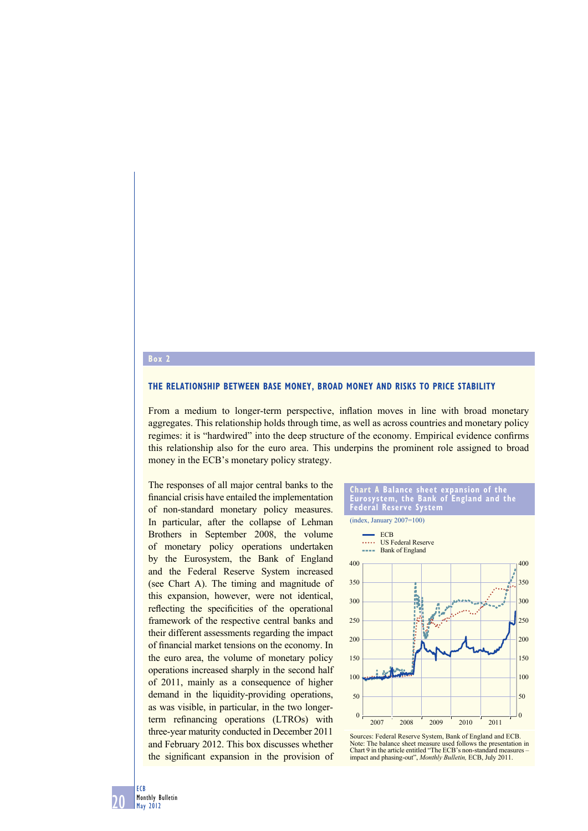#### **Box 2**

#### **THE RELATIONSHIP BETWEEN BASE MONEY, BROAD MONEY AND RISKS TO PRICE STABILITY**

From a medium to longer-term perspective, inflation moves in line with broad monetary aggregates. This relationship holds through time, as well as across countries and monetary policy regimes: it is "hardwired" into the deep structure of the economy. Empirical evidence confirms this relationship also for the euro area. This underpins the prominent role assigned to broad money in the ECB's monetary policy strategy.

The responses of all major central banks to the financial crisis have entailed the implementation of non-standard monetary policy measures. In particular, after the collapse of Lehman Brothers in September 2008, the volume of monetary policy operations undertaken by the Eurosystem, the Bank of England and the Federal Reserve System increased (see Chart A). The timing and magnitude of this expansion, however, were not identical, reflecting the specificities of the operational framework of the respective central banks and their different assessments regarding the impact of financial market tensions on the economy. In the euro area, the volume of monetary policy operations increased sharply in the second half of 2011, mainly as a consequence of higher demand in the liquidity-providing operations, as was visible, in particular, in the two longerterm refinancing operations (LTROs) with three-year maturity conducted in December 2011 and February 2012. This box discusses whether the significant expansion in the provision of





Sources: Federal Reserve System, Bank of England and ECB. Note: The balance sheet measure used follows the presentation in Chart 9 in the article entitled "The ECB's non-standard measures – impact and phasing-out", *Monthly Bulletin,* ECB, July 2011.

20 ECB Monthly Bulletin May 2012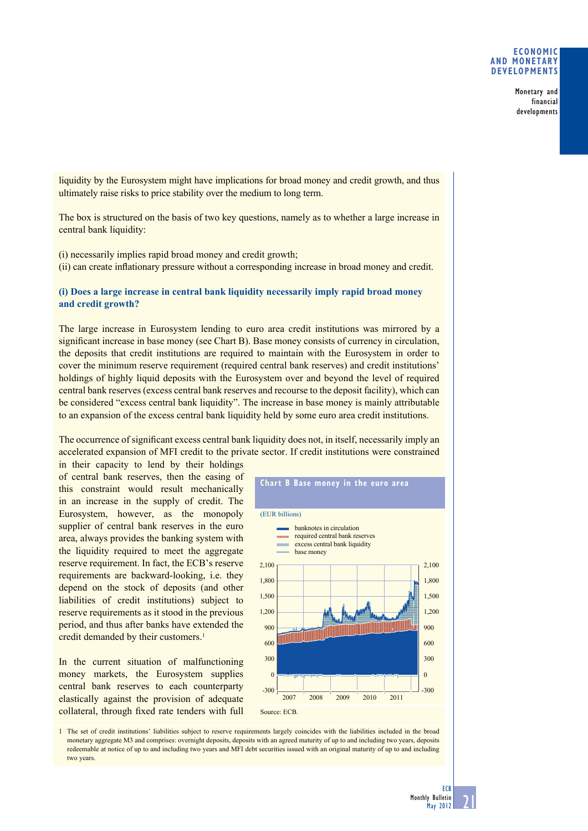### **ECONOMIC AND MONETARY DEVELOPMENTS**

Monetary and financial developments

liquidity by the Eurosystem might have implications for broad money and credit growth, and thus ultimately raise risks to price stability over the medium to long term.

The box is structured on the basis of two key questions, namely as to whether a large increase in central bank liquidity:

(i) necessarily implies rapid broad money and credit growth;

(ii) can create inflationary pressure without a corresponding increase in broad money and credit.

## **(i) Does a large increase in central bank liquidity necessarily imply rapid broad money and credit growth?**

The large increase in Eurosystem lending to euro area credit institutions was mirrored by a significant increase in base money (see Chart B). Base money consists of currency in circulation, the deposits that credit institutions are required to maintain with the Eurosystem in order to cover the minimum reserve requirement (required central bank reserves) and credit institutions' holdings of highly liquid deposits with the Eurosystem over and beyond the level of required central bank reserves (excess central bank reserves and recourse to the deposit facility), which can be considered "excess central bank liquidity". The increase in base money is mainly attributable to an expansion of the excess central bank liquidity held by some euro area credit institutions.

The occurrence of significant excess central bank liquidity does not, in itself, necessarily imply an accelerated expansion of MFI credit to the private sector. If credit institutions were constrained

in their capacity to lend by their holdings of central bank reserves, then the easing of this constraint would result mechanically in an increase in the supply of credit. The Eurosystem, however, as the monopoly supplier of central bank reserves in the euro area, always provides the banking system with the liquidity required to meet the aggregate reserve requirement. In fact, the ECB's reserve requirements are backward-looking, i.e. they depend on the stock of deposits (and other liabilities of credit institutions) subject to reserve requirements as it stood in the previous period, and thus after banks have extended the credit demanded by their customers.<sup>1</sup>

In the current situation of malfunctioning money markets, the Eurosystem supplies central bank reserves to each counterparty elastically against the provision of adequate collateral, through fixed rate tenders with full



1 The set of credit institutions' liabilities subject to reserve requirements largely coincides with the liabilities included in the broad monetary aggregate M3 and comprises: overnight deposits, deposits with an agreed maturity of up to and including two years, deposits redeemable at notice of up to and including two years and MFI debt securities issued with an original maturity of up to and including two years.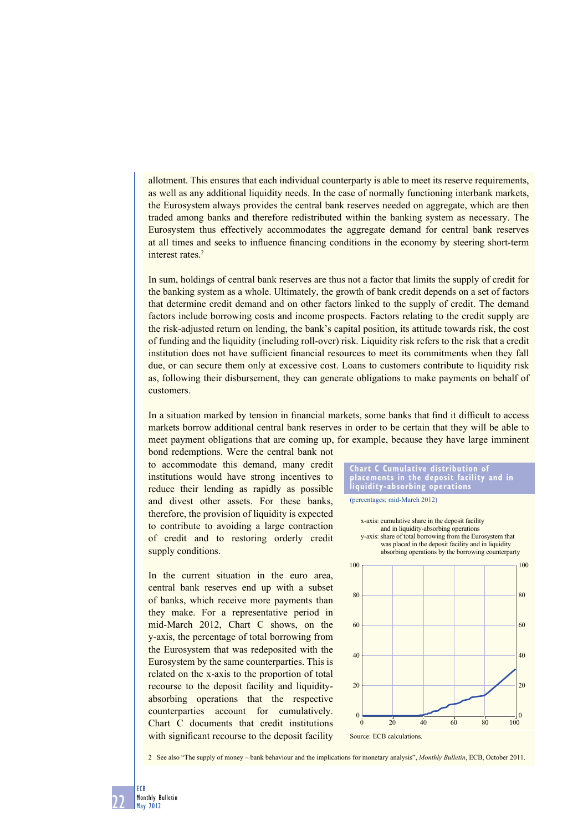allotment. This ensures that each individual counterparty is able to meet its reserve requirements, as well as any additional liquidity needs. In the case of normally functioning interbank markets, the Eurosystem always provides the central bank reserves needed on aggregate, which are then traded among banks and therefore redistributed within the banking system as necessary. The Eurosystem thus effectively accommodates the aggregate demand for central bank reserves at all times and seeks to influence financing conditions in the economy by steering short-term interest rates.2

In sum, holdings of central bank reserves are thus not a factor that limits the supply of credit for the banking system as a whole. Ultimately, the growth of bank credit depends on a set of factors that determine credit demand and on other factors linked to the supply of credit. The demand factors include borrowing costs and income prospects. Factors relating to the credit supply are the risk-adjusted return on lending, the bank's capital position, its attitude towards risk, the cost of funding and the liquidity (including roll-over) risk. Liquidity risk refers to the risk that a credit institution does not have sufficient financial resources to meet its commitments when they fall due, or can secure them only at excessive cost. Loans to customers contribute to liquidity risk as, following their disbursement, they can generate obligations to make payments on behalf of customers.

In a situation marked by tension in financial markets, some banks that find it difficult to access markets borrow additional central bank reserves in order to be certain that they will be able to meet payment obligations that are coming up, for example, because they have large imminent

bond redemptions. Were the central bank not to accommodate this demand, many credit institutions would have strong incentives to reduce their lending as rapidly as possible and divest other assets. For these banks, therefore, the provision of liquidity is expected to contribute to avoiding a large contraction of credit and to restoring orderly credit supply conditions.

In the current situation in the euro area, central bank reserves end up with a subset of banks, which receive more payments than they make. For a representative period in mid-March 2012, Chart C shows, on the y-axis, the percentage of total borrowing from the Eurosystem that was redeposited with the Eurosystem by the same counterparties. This is related on the x-axis to the proportion of total recourse to the deposit facility and liquidityabsorbing operations that the respective counterparties account for cumulatively. Chart C documents that credit institutions with significant recourse to the deposit facility



(percentages; mid-March 2012)



2 See also "The supply of money – bank behaviour and the implications for monetary analysis", *Monthly Bulletin*, ECB, October 2011.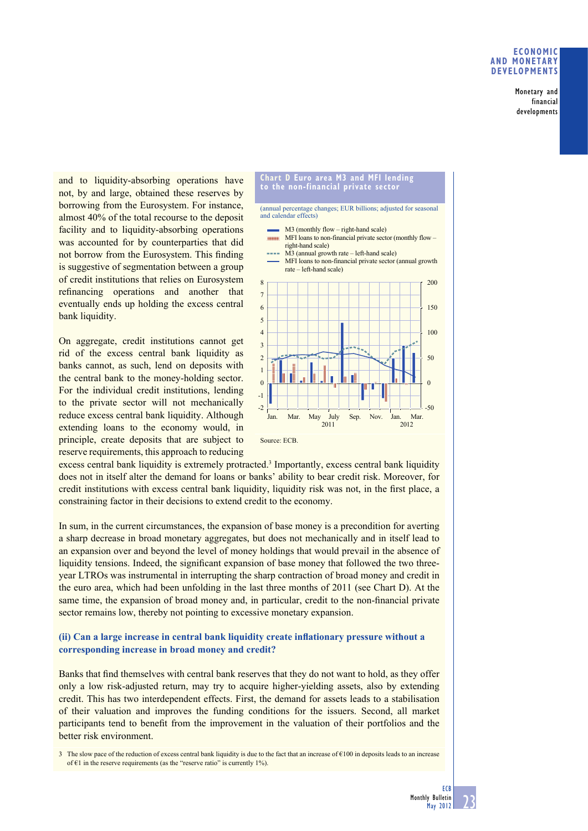#### **ECONOMIC AND MONETARY DEVELOPMENTS**

Monetary and financial developments

and to liquidity-absorbing operations have not, by and large, obtained these reserves by borrowing from the Eurosystem. For instance, almost 40% of the total recourse to the deposit facility and to liquidity-absorbing operations was accounted for by counterparties that did not borrow from the Eurosystem. This finding is suggestive of segmentation between a group of credit institutions that relies on Eurosystem refinancing operations and another that eventually ends up holding the excess central bank liquidity.

On aggregate, credit institutions cannot get rid of the excess central bank liquidity as banks cannot, as such, lend on deposits with the central bank to the money-holding sector. For the individual credit institutions, lending to the private sector will not mechanically reduce excess central bank liquidity. Although extending loans to the economy would, in principle, create deposits that are subject to reserve requirements, this approach to reducing



excess central bank liquidity is extremely protracted.<sup>3</sup> Importantly, excess central bank liquidity does not in itself alter the demand for loans or banks' ability to bear credit risk. Moreover, for credit institutions with excess central bank liquidity, liquidity risk was not, in the first place, a constraining factor in their decisions to extend credit to the economy.

In sum, in the current circumstances, the expansion of base money is a precondition for averting a sharp decrease in broad monetary aggregates, but does not mechanically and in itself lead to an expansion over and beyond the level of money holdings that would prevail in the absence of liquidity tensions. Indeed, the significant expansion of base money that followed the two threeyear LTROs was instrumental in interrupting the sharp contraction of broad money and credit in the euro area, which had been unfolding in the last three months of 2011 (see Chart D). At the same time, the expansion of broad money and, in particular, credit to the non-financial private sector remains low, thereby not pointing to excessive monetary expansion.

# **(ii) Can a large increase in central bank liquidity create inflationary pressure without a corresponding increase in broad money and credit?**

Banks that find themselves with central bank reserves that they do not want to hold, as they offer only a low risk-adjusted return, may try to acquire higher-yielding assets, also by extending credit. This has two interdependent effects. First, the demand for assets leads to a stabilisation of their valuation and improves the funding conditions for the issuers. Second, all market participants tend to benefit from the improvement in the valuation of their portfolios and the better risk environment.

3 The slow pace of the reduction of excess central bank liquidity is due to the fact that an increase of  $\epsilon$ 100 in deposits leads to an increase of  $\epsilon$ 1 in the reserve requirements (as the "reserve ratio" is currently 1%).

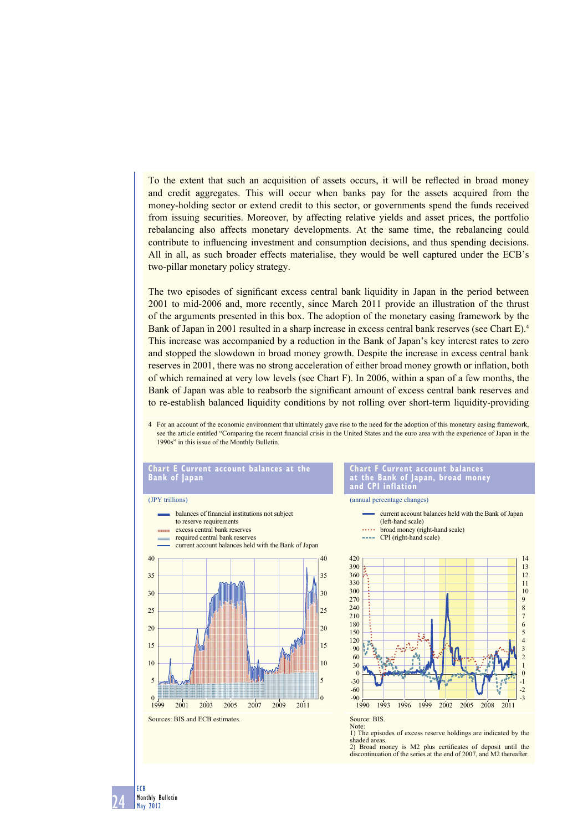To the extent that such an acquisition of assets occurs, it will be reflected in broad money and credit aggregates. This will occur when banks pay for the assets acquired from the money-holding sector or extend credit to this sector, or governments spend the funds received from issuing securities. Moreover, by affecting relative yields and asset prices, the portfolio rebalancing also affects monetary developments. At the same time, the rebalancing could contribute to influencing investment and consumption decisions, and thus spending decisions. All in all, as such broader effects materialise, they would be well captured under the ECB's two-pillar monetary policy strategy.

The two episodes of significant excess central bank liquidity in Japan in the period between 2001 to mid-2006 and, more recently, since March 2011 provide an illustration of the thrust of the arguments presented in this box. The adoption of the monetary easing framework by the Bank of Japan in 2001 resulted in a sharp increase in excess central bank reserves (see Chart E).<sup>4</sup> This increase was accompanied by a reduction in the Bank of Japan's key interest rates to zero and stopped the slowdown in broad money growth. Despite the increase in excess central bank reserves in 2001, there was no strong acceleration of either broad money growth or inflation, both of which remained at very low levels (see Chart F). In 2006, within a span of a few months, the Bank of Japan was able to reabsorb the significant amount of excess central bank reserves and to re-establish balanced liquidity conditions by not rolling over short-term liquidity-providing

4 For an account of the economic environment that ultimately gave rise to the need for the adoption of this monetary easing framework, see the article entitled "Comparing the recent financial crisis in the United States and the euro area with the experience of Japan in the 1990s" in this issue of the Monthly Bulletin.

#### **Chart E Current account balances at the Bank of Japan**

#### (JPY trillions)

24

ECB Monthly Bulletin May 2012



#### **Chart F Current account balances at the Bank of Japan, broad money and CPI inflation**

(annual percentage changes)



Source: BIS. Note:

1) The episodes of excess reserve holdings are indicated by the shaded areas. 2) Broad money is M2 plus certificates of deposit until the discontinuation of the series at the end of 2007, and M2 thereafter.